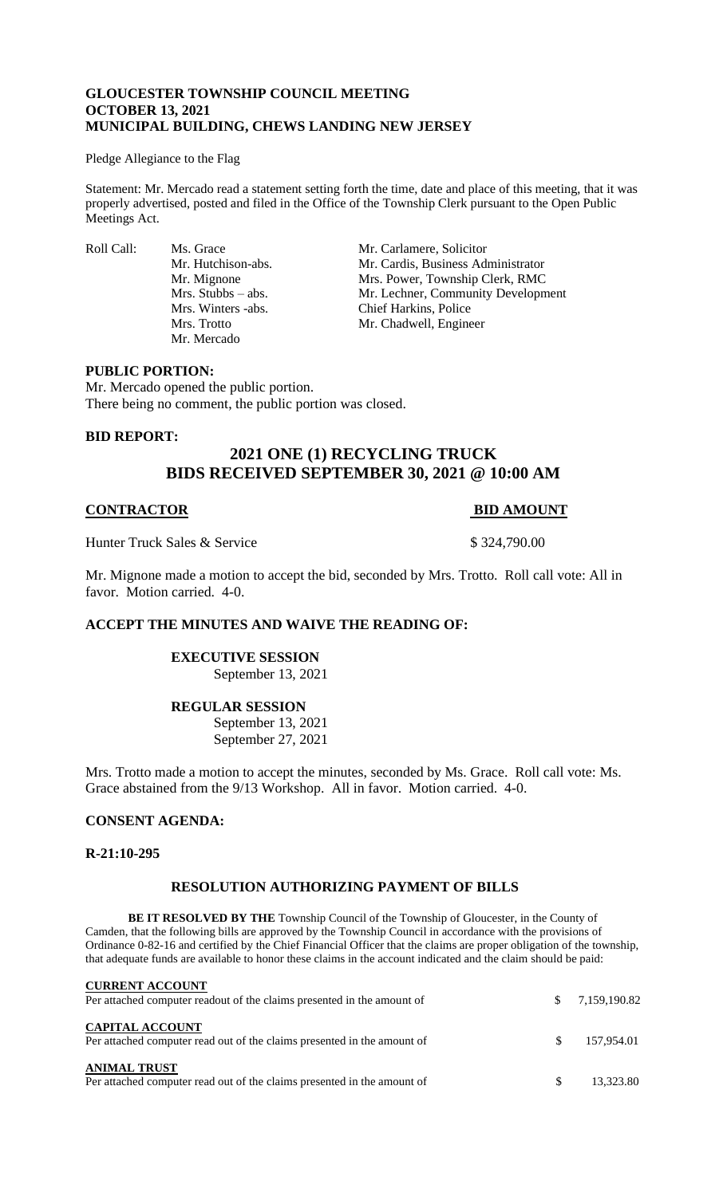## **GLOUCESTER TOWNSHIP COUNCIL MEETING OCTOBER 13, 2021 MUNICIPAL BUILDING, CHEWS LANDING NEW JERSEY**

#### Pledge Allegiance to the Flag

Statement: Mr. Mercado read a statement setting forth the time, date and place of this meeting, that it was properly advertised, posted and filed in the Office of the Township Clerk pursuant to the Open Public Meetings Act.

Roll Call: Ms. Grace Mr. Carlamere, Solicitor<br>Mr. Hutchison-abs. Mr. Cardis, Business Adı Mr. Mercado

Mr. Cardis, Business Administrator Mr. Mignone Mrs. Power, Township Clerk, RMC Mrs. Stubbs – abs. Mr. Lechner, Community Development Mrs. Winters -abs. Chief Harkins, Police Mrs. Trotto Mr. Chadwell, Engineer

### **PUBLIC PORTION:**

Mr. Mercado opened the public portion. There being no comment, the public portion was closed.

### **BID REPORT:**

# **2021 ONE (1) RECYCLING TRUCK BIDS RECEIVED SEPTEMBER 30, 2021 @ 10:00 AM**

## **CONTRACTOR BID AMOUNT**

Hunter Truck Sales & Service \$ 324,790.00

Mr. Mignone made a motion to accept the bid, seconded by Mrs. Trotto. Roll call vote: All in favor. Motion carried. 4-0.

## **ACCEPT THE MINUTES AND WAIVE THE READING OF:**

# **EXECUTIVE SESSION**

September 13, 2021

## **REGULAR SESSION**

September 13, 2021 September 27, 2021

Mrs. Trotto made a motion to accept the minutes, seconded by Ms. Grace. Roll call vote: Ms. Grace abstained from the 9/13 Workshop. All in favor. Motion carried. 4-0.

#### **CONSENT AGENDA:**

#### **R-21:10-295**

## **RESOLUTION AUTHORIZING PAYMENT OF BILLS**

**BE IT RESOLVED BY THE** Township Council of the Township of Gloucester, in the County of Camden, that the following bills are approved by the Township Council in accordance with the provisions of Ordinance 0-82-16 and certified by the Chief Financial Officer that the claims are proper obligation of the township, that adequate funds are available to honor these claims in the account indicated and the claim should be paid:

| <b>CURRENT ACCOUNT</b><br>Per attached computer readout of the claims presented in the amount of  | <sup>\$</sup> | 7,159,190.82 |
|---------------------------------------------------------------------------------------------------|---------------|--------------|
| <b>CAPITAL ACCOUNT</b><br>Per attached computer read out of the claims presented in the amount of | SS.           | 157.954.01   |
| <b>ANIMAL TRUST</b><br>Per attached computer read out of the claims presented in the amount of    |               | 13.323.80    |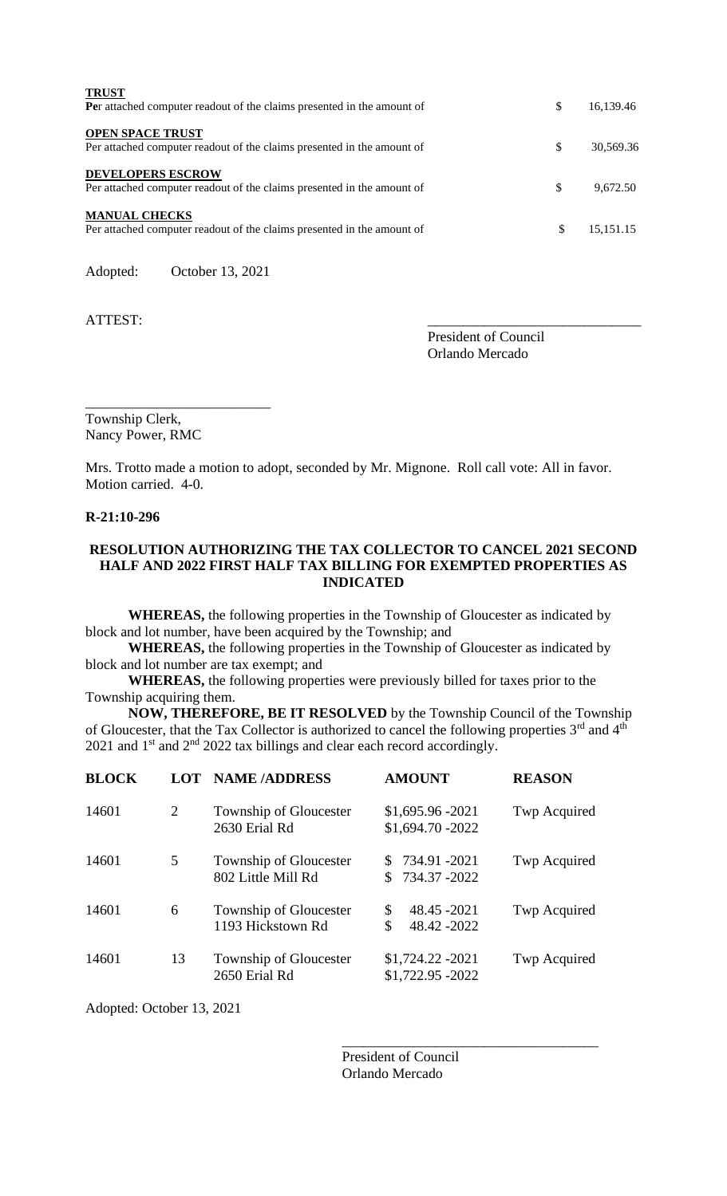| <b>TRUST</b><br>Per attached computer readout of the claims presented in the amount of             | \$  | 16,139.46 |
|----------------------------------------------------------------------------------------------------|-----|-----------|
| <b>OPEN SPACE TRUST</b><br>Per attached computer readout of the claims presented in the amount of  | \$. | 30.569.36 |
| <b>DEVELOPERS ESCROW</b><br>Per attached computer readout of the claims presented in the amount of | \$  | 9.672.50  |
| <b>MANUAL CHECKS</b><br>Per attached computer readout of the claims presented in the amount of     | S   | 15,151.15 |
|                                                                                                    |     |           |

Adopted: October 13, 2021

ATTEST:

President of Council Orlando Mercado

\_\_\_\_\_\_\_\_\_\_\_\_\_\_\_\_\_\_\_\_\_\_\_\_\_\_ Township Clerk, Nancy Power, RMC

Mrs. Trotto made a motion to adopt, seconded by Mr. Mignone. Roll call vote: All in favor. Motion carried. 4-0.

#### **R-21:10-296**

## **RESOLUTION AUTHORIZING THE TAX COLLECTOR TO CANCEL 2021 SECOND HALF AND 2022 FIRST HALF TAX BILLING FOR EXEMPTED PROPERTIES AS INDICATED**

**WHEREAS,** the following properties in the Township of Gloucester as indicated by block and lot number, have been acquired by the Township; and

**WHEREAS,** the following properties in the Township of Gloucester as indicated by block and lot number are tax exempt; and

**WHEREAS,** the following properties were previously billed for taxes prior to the Township acquiring them.

**NOW, THEREFORE, BE IT RESOLVED** by the Township Council of the Township of Gloucester, that the Tax Collector is authorized to cancel the following properties 3<sup>rd</sup> and 4<sup>th</sup> 2021 and  $1<sup>st</sup>$  and  $2<sup>nd</sup>$  2022 tax billings and clear each record accordingly.

| <b>BLOCK</b> | <b>LOT</b> | <b>NAME/ADDRESS</b>                          | <b>AMOUNT</b>                            | <b>REASON</b> |
|--------------|------------|----------------------------------------------|------------------------------------------|---------------|
| 14601        | 2          | Township of Gloucester<br>2630 Erial Rd      | $$1,695.96 - 2021$<br>\$1,694.70 - 2022  | Twp Acquired  |
| 14601        | 5          | Township of Gloucester<br>802 Little Mill Rd | $$734.91 -2021$<br>734.37 -2022          | Twp Acquired  |
| 14601        | 6          | Township of Gloucester<br>1193 Hickstown Rd  | \$<br>48.45 - 2021<br>\$<br>48.42 - 2022 | Twp Acquired  |
| 14601        | 13         | Township of Gloucester<br>2650 Erial Rd      | \$1,724.22 - 2021<br>\$1,722.95 - 2022   | Twp Acquired  |

Adopted: October 13, 2021

President of Council Orlando Mercado

\_\_\_\_\_\_\_\_\_\_\_\_\_\_\_\_\_\_\_\_\_\_\_\_\_\_\_\_\_\_\_\_\_\_\_\_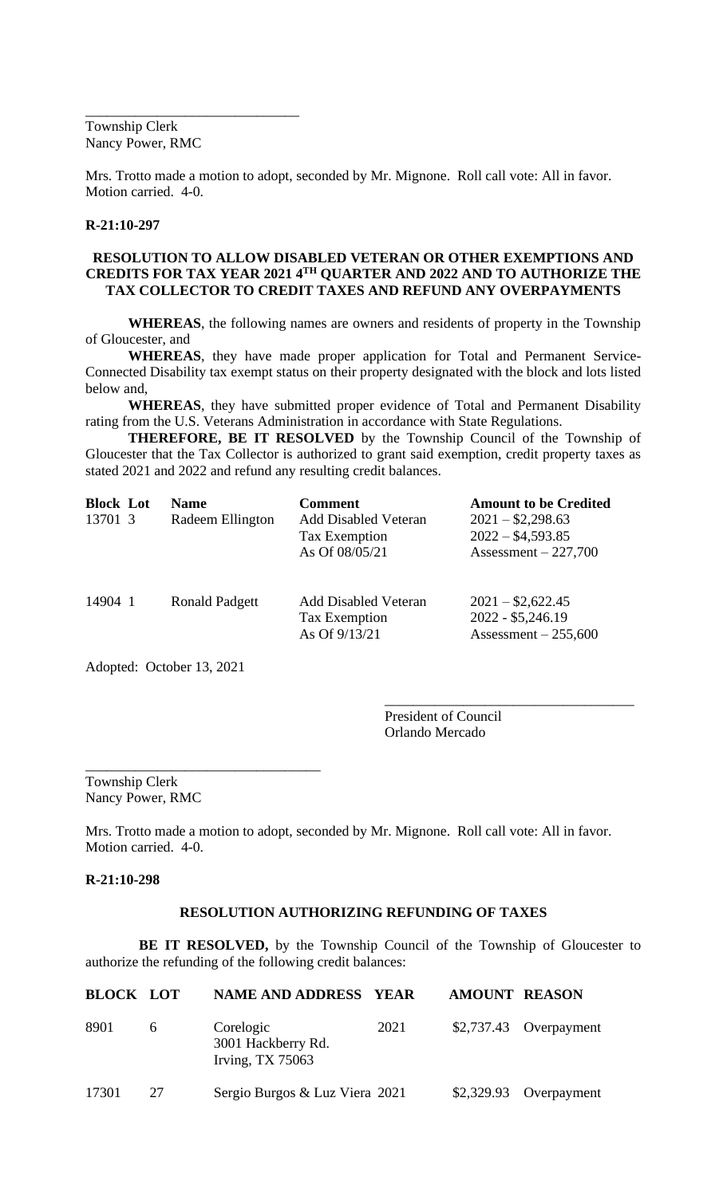Township Clerk Nancy Power, RMC

\_\_\_\_\_\_\_\_\_\_\_\_\_\_\_\_\_\_\_\_\_\_\_\_\_\_\_\_\_\_

Mrs. Trotto made a motion to adopt, seconded by Mr. Mignone. Roll call vote: All in favor. Motion carried. 4-0.

#### **R-21:10-297**

## **RESOLUTION TO ALLOW DISABLED VETERAN OR OTHER EXEMPTIONS AND CREDITS FOR TAX YEAR 2021 4TH QUARTER AND 2022 AND TO AUTHORIZE THE TAX COLLECTOR TO CREDIT TAXES AND REFUND ANY OVERPAYMENTS**

**WHEREAS**, the following names are owners and residents of property in the Township of Gloucester, and

**WHEREAS**, they have made proper application for Total and Permanent Service-Connected Disability tax exempt status on their property designated with the block and lots listed below and,

**WHEREAS**, they have submitted proper evidence of Total and Permanent Disability rating from the U.S. Veterans Administration in accordance with State Regulations.

**THEREFORE, BE IT RESOLVED** by the Township Council of the Township of Gloucester that the Tax Collector is authorized to grant said exemption, credit property taxes as stated 2021 and 2022 and refund any resulting credit balances.

| <b>Block Lot</b><br>13701 3 | <b>Name</b><br>Radeem Ellington | <b>Comment</b><br><b>Add Disabled Veteran</b><br>Tax Exemption<br>As Of 08/05/21 | <b>Amount to be Credited</b><br>$2021 - $2,298.63$<br>$2022 - $4,593.85$<br>Assessment $-227,700$ |
|-----------------------------|---------------------------------|----------------------------------------------------------------------------------|---------------------------------------------------------------------------------------------------|
| 14904 1                     | <b>Ronald Padgett</b>           | <b>Add Disabled Veteran</b><br>Tax Exemption<br>As Of $9/13/21$                  | $2021 - $2,622.45$<br>2022 - \$5,246.19<br>Assessment $-255,600$                                  |

Adopted: October 13, 2021

\_\_\_\_\_\_\_\_\_\_\_\_\_\_\_\_\_\_\_\_\_\_\_\_\_\_\_\_\_\_\_\_\_

President of Council Orlando Mercado

\_\_\_\_\_\_\_\_\_\_\_\_\_\_\_\_\_\_\_\_\_\_\_\_\_\_\_\_\_\_\_\_\_\_\_

Township Clerk Nancy Power, RMC

Mrs. Trotto made a motion to adopt, seconded by Mr. Mignone. Roll call vote: All in favor. Motion carried. 4-0.

#### **R-21:10-298**

#### **RESOLUTION AUTHORIZING REFUNDING OF TAXES**

**BE IT RESOLVED,** by the Township Council of the Township of Gloucester to authorize the refunding of the following credit balances:

| <b>BLOCK LOT</b> |    | <b>NAME AND ADDRESS YEAR</b>                          |      | <b>AMOUNT REASON</b> |                         |
|------------------|----|-------------------------------------------------------|------|----------------------|-------------------------|
| 8901             | 6  | Corelogic<br>3001 Hackberry Rd.<br>Irving, $TX$ 75063 | 2021 |                      | $$2,737.43$ Overpayment |
| 17301            | 27 | Sergio Burgos & Luz Viera 2021                        |      | \$2,329.93           | Overpayment             |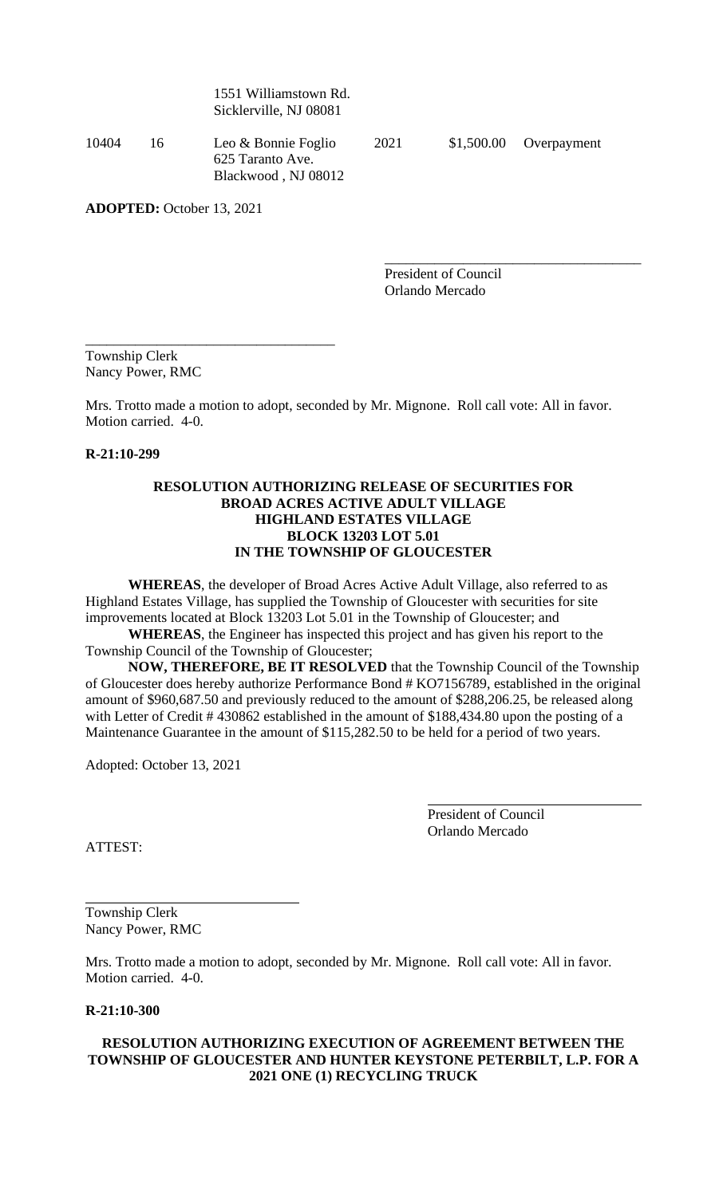1551 Williamstown Rd. Sicklerville, NJ 08081

10404 16 Leo & Bonnie Foglio 2021 \$1,500.00 Overpayment 625 Taranto Ave. Blackwood , NJ 08012

\_\_\_\_\_\_\_\_\_\_\_\_\_\_\_\_\_\_\_\_\_\_\_\_\_\_\_\_\_\_\_\_\_\_\_

\_\_\_\_\_\_\_\_\_\_\_\_\_\_\_\_\_\_\_\_\_\_\_\_\_\_\_\_\_\_\_\_\_\_\_\_

**ADOPTED:** October 13, 2021

President of Council Orlando Mercado

Township Clerk Nancy Power, RMC

Mrs. Trotto made a motion to adopt, seconded by Mr. Mignone. Roll call vote: All in favor. Motion carried. 4-0.

**R-21:10-299**

## **RESOLUTION AUTHORIZING RELEASE OF SECURITIES FOR BROAD ACRES ACTIVE ADULT VILLAGE HIGHLAND ESTATES VILLAGE BLOCK 13203 LOT 5.01 IN THE TOWNSHIP OF GLOUCESTER**

**WHEREAS**, the developer of Broad Acres Active Adult Village, also referred to as Highland Estates Village, has supplied the Township of Gloucester with securities for site improvements located at Block 13203 Lot 5.01 in the Township of Gloucester; and

**WHEREAS**, the Engineer has inspected this project and has given his report to the Township Council of the Township of Gloucester;

**NOW, THEREFORE, BE IT RESOLVED** that the Township Council of the Township of Gloucester does hereby authorize Performance Bond # KO7156789, established in the original amount of \$960,687.50 and previously reduced to the amount of \$288,206.25, be released along with Letter of Credit # 430862 established in the amount of \$188,434.80 upon the posting of a Maintenance Guarantee in the amount of \$115,282.50 to be held for a period of two years.

Adopted: October 13, 2021

President of Council Orlando Mercado

ATTEST:

Township Clerk Nancy Power, RMC

Mrs. Trotto made a motion to adopt, seconded by Mr. Mignone. Roll call vote: All in favor. Motion carried. 4-0.

**R-21:10-300**

## **RESOLUTION AUTHORIZING EXECUTION OF AGREEMENT BETWEEN THE TOWNSHIP OF GLOUCESTER AND HUNTER KEYSTONE PETERBILT, L.P. FOR A 2021 ONE (1) RECYCLING TRUCK**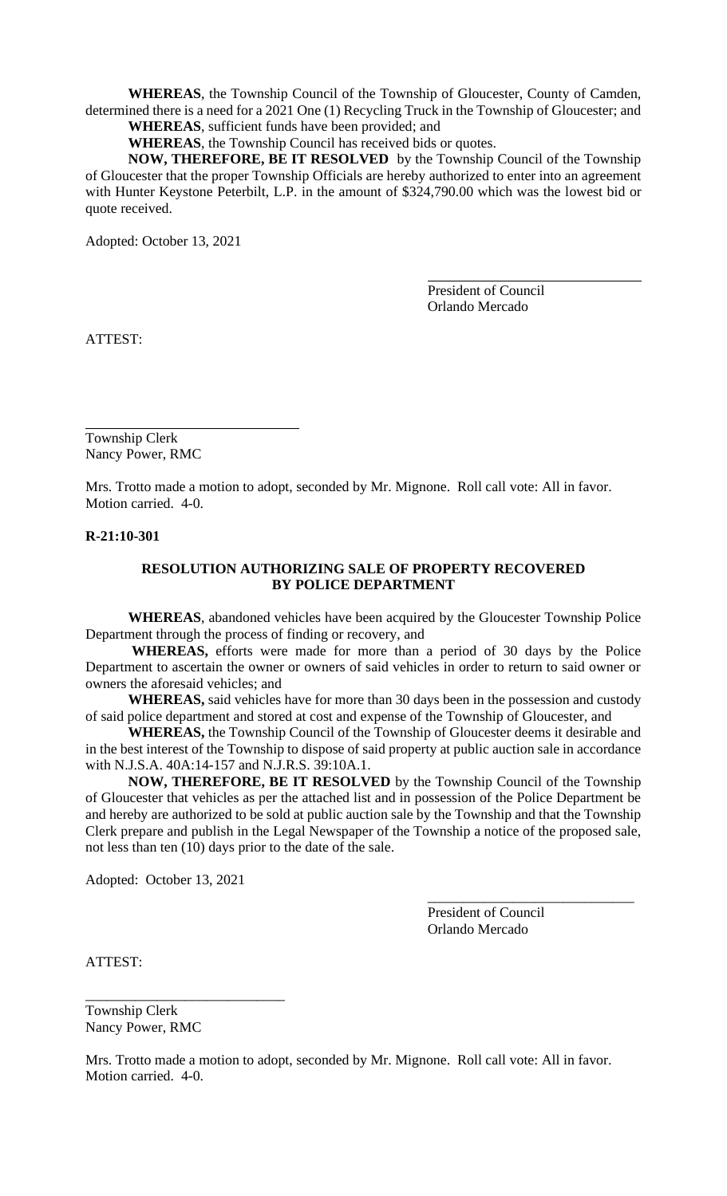**WHEREAS**, the Township Council of the Township of Gloucester, County of Camden, determined there is a need for a 2021 One (1) Recycling Truck in the Township of Gloucester; and

**WHEREAS**, sufficient funds have been provided; and

**WHEREAS**, the Township Council has received bids or quotes.

**NOW, THEREFORE, BE IT RESOLVED** by the Township Council of the Township of Gloucester that the proper Township Officials are hereby authorized to enter into an agreement with Hunter Keystone Peterbilt, L.P. in the amount of \$324,790.00 which was the lowest bid or quote received.

Adopted: October 13, 2021

President of Council Orlando Mercado

ATTEST:

Township Clerk Nancy Power, RMC

Mrs. Trotto made a motion to adopt, seconded by Mr. Mignone. Roll call vote: All in favor. Motion carried. 4-0.

## **R-21:10-301**

## **RESOLUTION AUTHORIZING SALE OF PROPERTY RECOVERED BY POLICE DEPARTMENT**

**WHEREAS**, abandoned vehicles have been acquired by the Gloucester Township Police Department through the process of finding or recovery, and

**WHEREAS,** efforts were made for more than a period of 30 days by the Police Department to ascertain the owner or owners of said vehicles in order to return to said owner or owners the aforesaid vehicles; and

**WHEREAS,** said vehicles have for more than 30 days been in the possession and custody of said police department and stored at cost and expense of the Township of Gloucester, and

**WHEREAS,** the Township Council of the Township of Gloucester deems it desirable and in the best interest of the Township to dispose of said property at public auction sale in accordance with N.J.S.A. 40A:14-157 and N.J.R.S. 39:10A.1.

**NOW, THEREFORE, BE IT RESOLVED** by the Township Council of the Township of Gloucester that vehicles as per the attached list and in possession of the Police Department be and hereby are authorized to be sold at public auction sale by the Township and that the Township Clerk prepare and publish in the Legal Newspaper of the Township a notice of the proposed sale, not less than ten (10) days prior to the date of the sale.

Adopted: October 13, 2021

\_\_\_\_\_\_\_\_\_\_\_\_\_\_\_\_\_\_\_\_\_\_\_\_\_\_\_\_

President of Council Orlando Mercado

\_\_\_\_\_\_\_\_\_\_\_\_\_\_\_\_\_\_\_\_\_\_\_\_\_\_\_\_\_

ATTEST:

Township Clerk Nancy Power, RMC

Mrs. Trotto made a motion to adopt, seconded by Mr. Mignone. Roll call vote: All in favor. Motion carried. 4-0.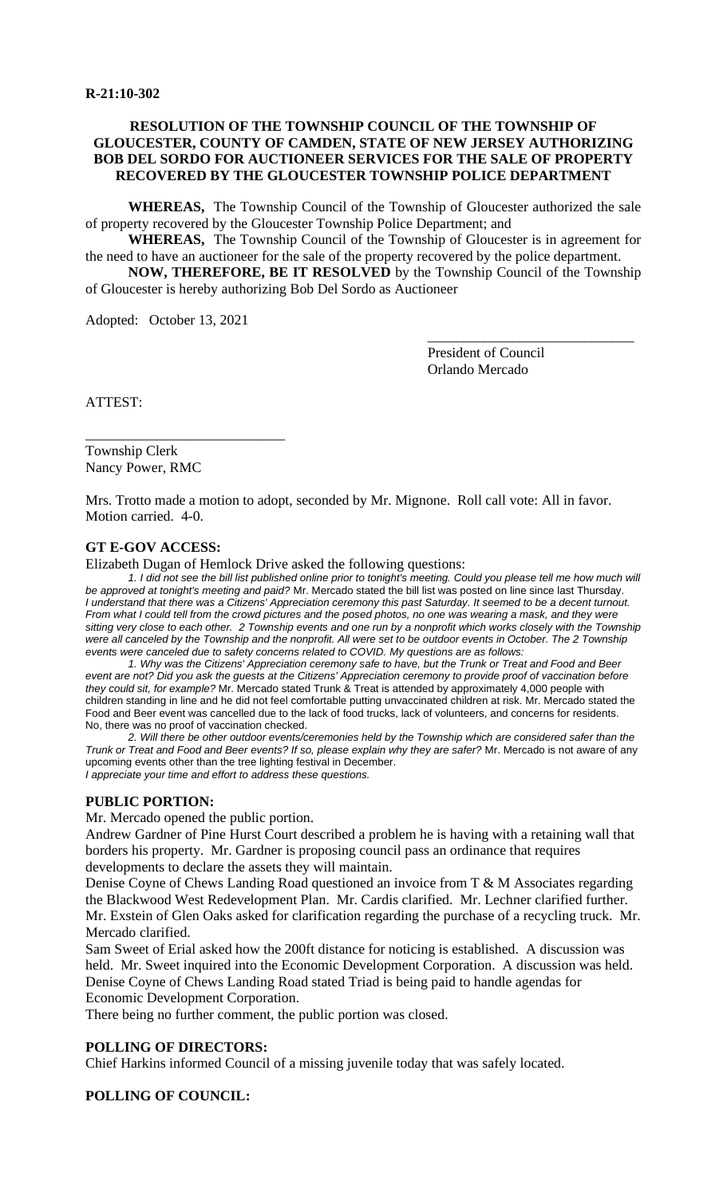## **RESOLUTION OF THE TOWNSHIP COUNCIL OF THE TOWNSHIP OF GLOUCESTER, COUNTY OF CAMDEN, STATE OF NEW JERSEY AUTHORIZING BOB DEL SORDO FOR AUCTIONEER SERVICES FOR THE SALE OF PROPERTY RECOVERED BY THE GLOUCESTER TOWNSHIP POLICE DEPARTMENT**

**WHEREAS,** The Township Council of the Township of Gloucester authorized the sale of property recovered by the Gloucester Township Police Department; and

**WHEREAS,** The Township Council of the Township of Gloucester is in agreement for the need to have an auctioneer for the sale of the property recovered by the police department.

**NOW, THEREFORE, BE IT RESOLVED** by the Township Council of the Township of Gloucester is hereby authorizing Bob Del Sordo as Auctioneer

Adopted: October 13, 2021

\_\_\_\_\_\_\_\_\_\_\_\_\_\_\_\_\_\_\_\_\_\_\_\_\_\_\_\_

President of Council Orlando Mercado

\_\_\_\_\_\_\_\_\_\_\_\_\_\_\_\_\_\_\_\_\_\_\_\_\_\_\_\_\_

ATTEST:

Township Clerk Nancy Power, RMC

Mrs. Trotto made a motion to adopt, seconded by Mr. Mignone. Roll call vote: All in favor. Motion carried. 4-0.

#### **GT E-GOV ACCESS:**

Elizabeth Dugan of Hemlock Drive asked the following questions:

*1. I did not see the bill list published online prior to tonight's meeting. Could you please tell me how much will be approved at tonight's meeting and paid?* Mr. Mercado stated the bill list was posted on line since last Thursday. *I understand that there was a Citizens' Appreciation ceremony this past Saturday. It seemed to be a decent turnout. From what I could tell from the crowd pictures and the posed photos, no one was wearing a mask, and they were sitting very close to each other. 2 Township events and one run by a nonprofit which works closely with the Township*  were all canceled by the Township and the nonprofit. All were set to be outdoor events in October. The 2 Township *events were canceled due to safety concerns related to COVID. My questions are as follows:*

 *1. Why was the Citizens' Appreciation ceremony safe to have, but the Trunk or Treat and Food and Beer event are not? Did you ask the guests at the Citizens' Appreciation ceremony to provide proof of vaccination before they could sit, for example?* Mr. Mercado stated Trunk & Treat is attended by approximately 4,000 people with children standing in line and he did not feel comfortable putting unvaccinated children at risk. Mr. Mercado stated the Food and Beer event was cancelled due to the lack of food trucks, lack of volunteers, and concerns for residents. No, there was no proof of vaccination checked.

 *2. Will there be other outdoor events/ceremonies held by the Township which are considered safer than the Trunk or Treat and Food and Beer events? If so, please explain why they are safer?* Mr. Mercado is not aware of any upcoming events other than the tree lighting festival in December. *I appreciate your time and effort to address these questions.*

#### **PUBLIC PORTION:**

Mr. Mercado opened the public portion.

Andrew Gardner of Pine Hurst Court described a problem he is having with a retaining wall that borders his property. Mr. Gardner is proposing council pass an ordinance that requires developments to declare the assets they will maintain.

Denise Coyne of Chews Landing Road questioned an invoice from T & M Associates regarding the Blackwood West Redevelopment Plan. Mr. Cardis clarified. Mr. Lechner clarified further. Mr. Exstein of Glen Oaks asked for clarification regarding the purchase of a recycling truck. Mr. Mercado clarified.

Sam Sweet of Erial asked how the 200ft distance for noticing is established. A discussion was held. Mr. Sweet inquired into the Economic Development Corporation. A discussion was held. Denise Coyne of Chews Landing Road stated Triad is being paid to handle agendas for Economic Development Corporation.

There being no further comment, the public portion was closed.

#### **POLLING OF DIRECTORS:**

Chief Harkins informed Council of a missing juvenile today that was safely located.

#### **POLLING OF COUNCIL:**